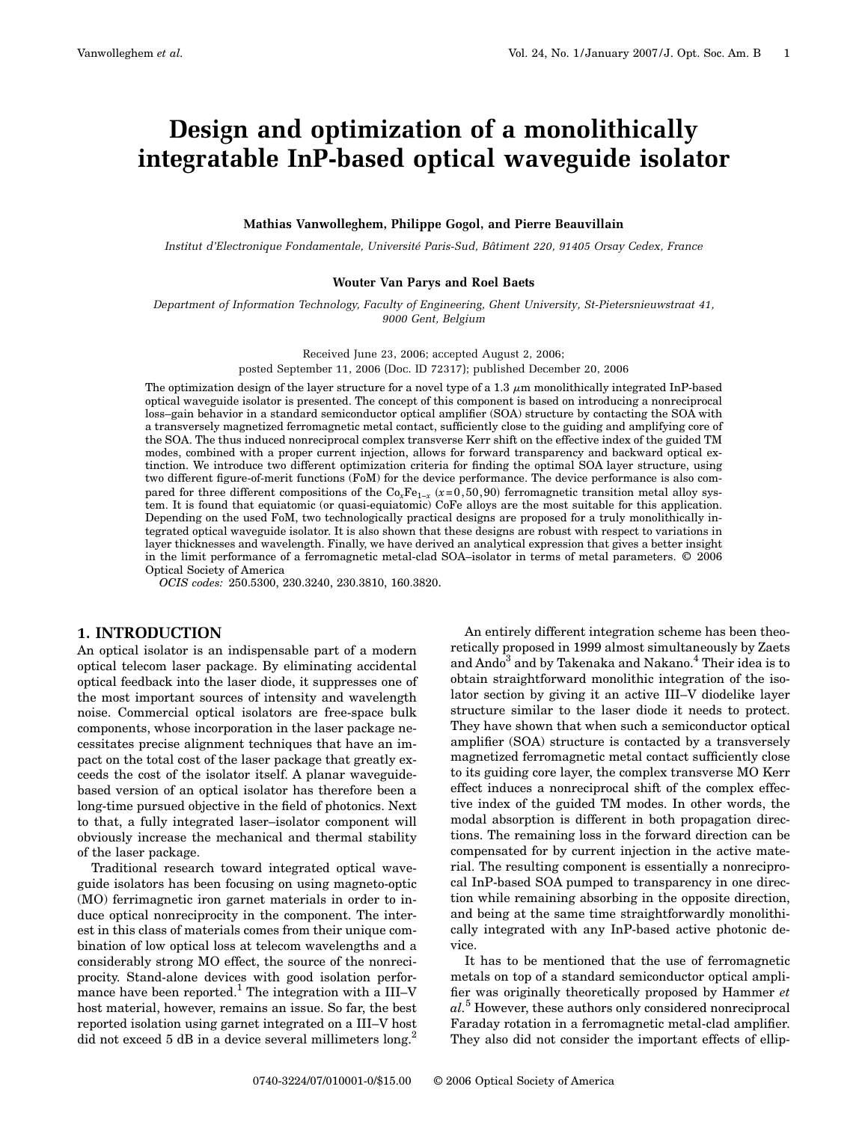# **Design and optimization of a monolithically integratable InP-based optical waveguide isolator**

### **Mathias Vanwolleghem, Philippe Gogol, and Pierre Beauvillain**

*Institut d'Electronique Fondamentale, Université Paris-Sud, Bâtiment 220, 91405 Orsay Cedex, France*

#### **Wouter Van Parys and Roel Baets**

*Department of Information Technology, Faculty of Engineering, Ghent University, St-Pietersnieuwstraat 41, 9000 Gent, Belgium*

Received June 23, 2006; accepted August 2, 2006;

posted September 11, 2006 (Doc. ID 72317); published December 20, 2006

The optimization design of the layer structure for a novel type of a 1.3  $\mu$ m monolithically integrated InP-based optical waveguide isolator is presented. The concept of this component is based on introducing a nonreciprocal loss–gain behavior in a standard semiconductor optical amplifier (SOA) structure by contacting the SOA with a transversely magnetized ferromagnetic metal contact, sufficiently close to the guiding and amplifying core of the SOA. The thus induced nonreciprocal complex transverse Kerr shift on the effective index of the guided TM modes, combined with a proper current injection, allows for forward transparency and backward optical extinction. We introduce two different optimization criteria for finding the optimal SOA layer structure, using two different figure-of-merit functions (FoM) for the device performance. The device performance is also compared for three different compositions of the Co<sub>x</sub>Fe<sub>1−*x*</sub> (*x*=0,50,90) ferromagnetic transition metal alloy system. It is found that equiatomic (or quasi-equiatomic) CoFe alloys are the most suitable for this application. Depending on the used FoM, two technologically practical designs are proposed for a truly monolithically integrated optical waveguide isolator. It is also shown that these designs are robust with respect to variations in layer thicknesses and wavelength. Finally, we have derived an analytical expression that gives a better insight in the limit performance of a ferromagnetic metal-clad SOA–isolator in terms of metal parameters. © 2006 Optical Society of America

*OCIS codes:* 250.5300, 230.3240, 230.3810, 160.3820.

## **1. INTRODUCTION**

An optical isolator is an indispensable part of a modern optical telecom laser package. By eliminating accidental optical feedback into the laser diode, it suppresses one of the most important sources of intensity and wavelength noise. Commercial optical isolators are free-space bulk components, whose incorporation in the laser package necessitates precise alignment techniques that have an impact on the total cost of the laser package that greatly exceeds the cost of the isolator itself. A planar waveguidebased version of an optical isolator has therefore been a long-time pursued objective in the field of photonics. Next to that, a fully integrated laser–isolator component will obviously increase the mechanical and thermal stability of the laser package.

Traditional research toward integrated optical waveguide isolators has been focusing on using magneto-optic (MO) ferrimagnetic iron garnet materials in order to induce optical nonreciprocity in the component. The interest in this class of materials comes from their unique combination of low optical loss at telecom wavelengths and a considerably strong MO effect, the source of the nonreciprocity. Stand-alone devices with good isolation performance have been reported.<sup>1</sup> The integration with a III–V host material, however, remains an issue. So far, the best reported isolation using garnet integrated on a III–V host did not exceed  $5$  dB in a device several millimeters long.<sup>2</sup>

An entirely different integration scheme has been theoretically proposed in 1999 almost simultaneously by Zaets and Ando<sup>3</sup> and by Takenaka and Nakano.<sup>4</sup> Their idea is to obtain straightforward monolithic integration of the isolator section by giving it an active III–V diodelike layer structure similar to the laser diode it needs to protect. They have shown that when such a semiconductor optical amplifier (SOA) structure is contacted by a transversely magnetized ferromagnetic metal contact sufficiently close to its guiding core layer, the complex transverse MO Kerr effect induces a nonreciprocal shift of the complex effective index of the guided TM modes. In other words, the modal absorption is different in both propagation directions. The remaining loss in the forward direction can be compensated for by current injection in the active material. The resulting component is essentially a nonreciprocal InP-based SOA pumped to transparency in one direction while remaining absorbing in the opposite direction, and being at the same time straightforwardly monolithically integrated with any InP-based active photonic device.

It has to be mentioned that the use of ferromagnetic metals on top of a standard semiconductor optical amplifier was originally theoretically proposed by Hammer *et al.*<sup>5</sup> However, these authors only considered nonreciprocal Faraday rotation in a ferromagnetic metal-clad amplifier. They also did not consider the important effects of ellip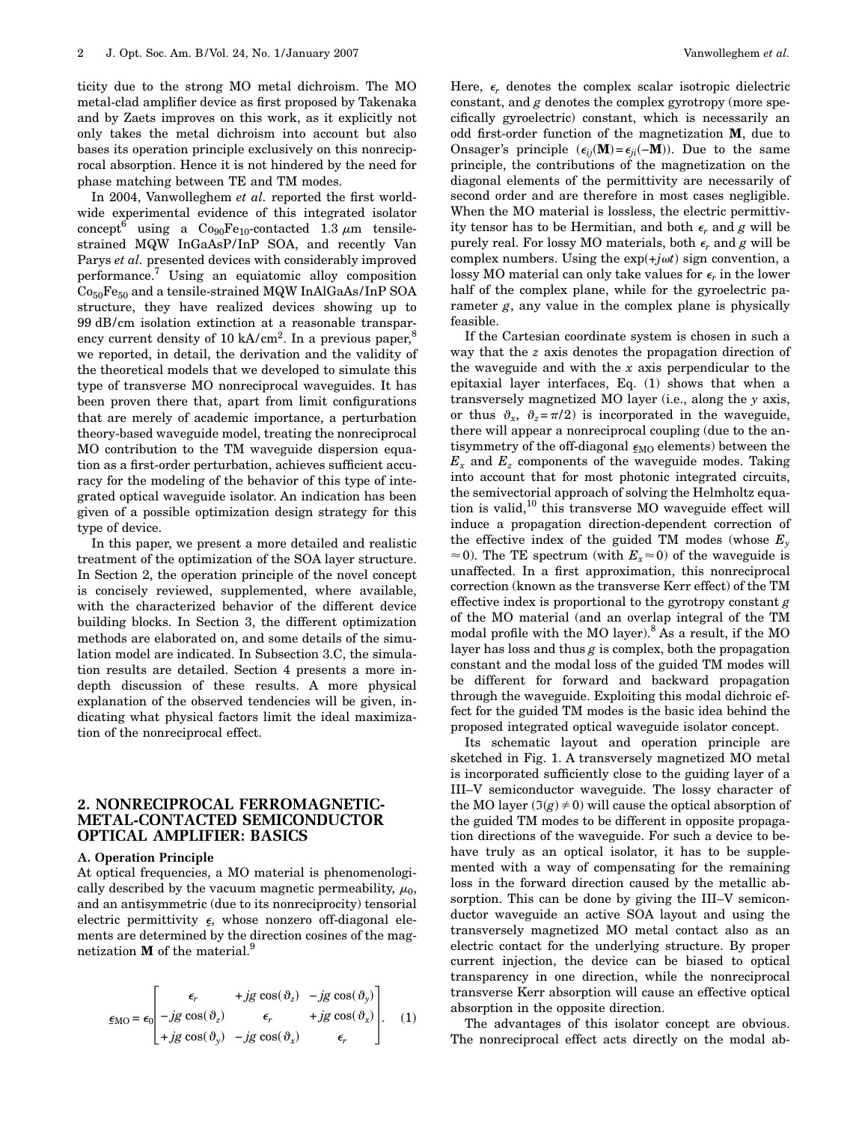ticity due to the strong MO metal dichroism. The MO metal-clad amplifier device as first proposed by Takenaka and by Zaets improves on this work, as it explicitly not only takes the metal dichroism into account but also bases its operation principle exclusively on this nonreciprocal absorption. Hence it is not hindered by the need for phase matching between TE and TM modes.

In 2004, Vanwolleghem *et al.* reported the first worldwide experimental evidence of this integrated isolator concept<sup>6</sup> using a  $Co_{90}Fe_{10}$ -contacted 1.3  $\mu$ m tensilestrained MQW InGaAsP/InP SOA, and recently Van Parys *et al.* presented devices with considerably improved performance.<sup>7</sup> Using an equiatomic alloy composition Co50Fe50 and a tensile-strained MQW InAlGaAs/InP SOA structure, they have realized devices showing up to 99 dB/cm isolation extinction at a reasonable transparency current density of 10 kA/cm<sup>2</sup>. In a previous paper,<sup>8</sup> we reported, in detail, the derivation and the validity of the theoretical models that we developed to simulate this type of transverse MO nonreciprocal waveguides. It has been proven there that, apart from limit configurations that are merely of academic importance, a perturbation theory-based waveguide model, treating the nonreciprocal MO contribution to the TM waveguide dispersion equation as a first-order perturbation, achieves sufficient accuracy for the modeling of the behavior of this type of integrated optical waveguide isolator. An indication has been given of a possible optimization design strategy for this type of device.

In this paper, we present a more detailed and realistic treatment of the optimization of the SOA layer structure. In Section 2, the operation principle of the novel concept is concisely reviewed, supplemented, where available, with the characterized behavior of the different device building blocks. In Section 3, the different optimization methods are elaborated on, and some details of the simulation model are indicated. In Subsection 3.C, the simulation results are detailed. Section 4 presents a more indepth discussion of these results. A more physical explanation of the observed tendencies will be given, indicating what physical factors limit the ideal maximization of the nonreciprocal effect.

## **2. NONRECIPROCAL FERROMAGNETIC-METAL-CONTACTED SEMICONDUCTOR OPTICAL AMPLIFIER: BASICS**

## **A. Operation Principle**

At optical frequencies, a MO material is phenomenologically described by the vacuum magnetic permeability,  $\mu_0$ , and an antisymmetric (due to its nonreciprocity) tensorial electric permittivity  $\epsilon$ , whose nonzero off-diagonal elements are determined by the direction cosines of the magnetization **M** of the material.<sup>9</sup>

$$
\epsilon_{\text{MO}} = \epsilon_0 \begin{bmatrix} \epsilon_r & +j g \cos(\vartheta_z) & -j g \cos(\vartheta_y) \\ -j g \cos(\vartheta_z) & \epsilon_r & +j g \cos(\vartheta_x) \\ +j g \cos(\vartheta_y) & -j g \cos(\vartheta_x) & \epsilon_r \end{bmatrix} . \tag{1}
$$

Here,  $\epsilon_r$  denotes the complex scalar isotropic dielectric constant, and *g* denotes the complex gyrotropy (more specifically gyroelectric) constant, which is necessarily an odd first-order function of the magnetization **M**, due to Onsager's principle  $(\epsilon_{ij}(\mathbf{M}) = \epsilon_{ji}(-\mathbf{M}))$ . Due to the same principle, the contributions of the magnetization on the diagonal elements of the permittivity are necessarily of second order and are therefore in most cases negligible. When the MO material is lossless, the electric permittivity tensor has to be Hermitian, and both  $\epsilon_r$  and  $g$  will be purely real. For lossy MO materials, both  $\epsilon_r$  and  $g$  will be complex numbers. Using the  $exp(+j\omega t)$  sign convention, a  $\log$  MO material can only take values for  $\epsilon_r$  in the lower half of the complex plane, while for the gyroelectric parameter *g*, any value in the complex plane is physically feasible.

If the Cartesian coordinate system is chosen in such a way that the *z* axis denotes the propagation direction of the waveguide and with the *x* axis perpendicular to the epitaxial layer interfaces, Eq. (1) shows that when a transversely magnetized MO layer (i.e., along the *y* axis, or thus  $\vartheta_x$ ,  $\vartheta_z = \pi/2$ ) is incorporated in the waveguide, there will appear a nonreciprocal coupling (due to the antisymmetry of the off-diagonal  $_{\mathsf{EMO}}$  elements) between the *Ex* and *Ez* components of the waveguide modes. Taking into account that for most photonic integrated circuits, the semivectorial approach of solving the Helmholtz equation is valid,<sup>10</sup> this transverse MO waveguide effect will induce a propagation direction-dependent correction of the effective index of the guided TM modes (whose  $E_y$ )  $\approx$  0). The TE spectrum (with  $E_r \approx$  0) of the waveguide is unaffected. In a first approximation, this nonreciprocal correction (known as the transverse Kerr effect) of the TM effective index is proportional to the gyrotropy constant *g* of the MO material (and an overlap integral of the TM modal profile with the MO layer). $8$  As a result, if the MO layer has loss and thus  $g$  is complex, both the propagation constant and the modal loss of the guided TM modes will be different for forward and backward propagation through the waveguide. Exploiting this modal dichroic effect for the guided TM modes is the basic idea behind the proposed integrated optical waveguide isolator concept.

Its schematic layout and operation principle are sketched in Fig. 1. A transversely magnetized MO metal is incorporated sufficiently close to the guiding layer of a III–V semiconductor waveguide. The lossy character of the MO layer  $(\Im(g) \neq 0)$  will cause the optical absorption of the guided TM modes to be different in opposite propagation directions of the waveguide. For such a device to behave truly as an optical isolator, it has to be supplemented with a way of compensating for the remaining loss in the forward direction caused by the metallic absorption. This can be done by giving the III–V semiconductor waveguide an active SOA layout and using the transversely magnetized MO metal contact also as an electric contact for the underlying structure. By proper current injection, the device can be biased to optical transparency in one direction, while the nonreciprocal transverse Kerr absorption will cause an effective optical absorption in the opposite direction.

The advantages of this isolator concept are obvious. The nonreciprocal effect acts directly on the modal ab-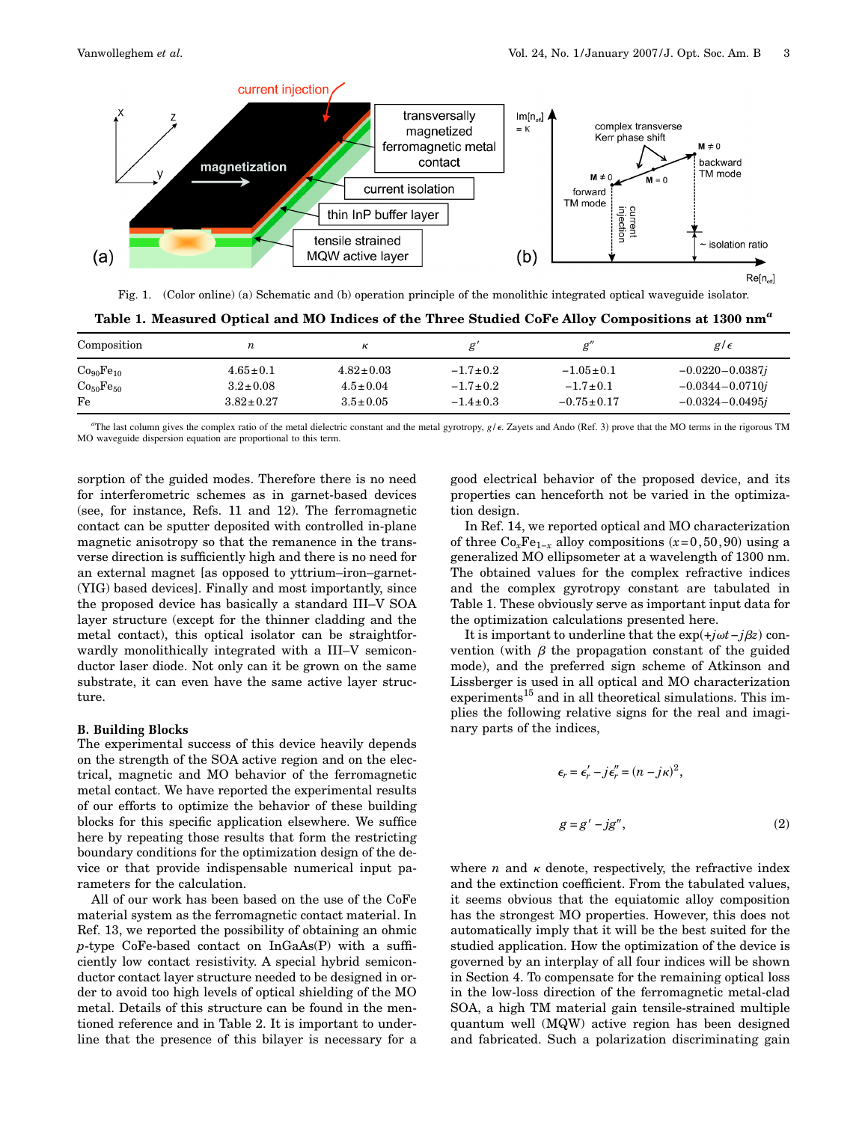

Fig. 1. (Color online) (a) Schematic and (b) operation principle of the monolithic integrated optical waveguide isolator.

**Table 1. Measured Optical and MO Indices of the Three Studied CoFe Alloy Compositions at 1300 nm***<sup>a</sup>*

| Composition                             | n                                 | к                                |                                  | $\mathcal{Q}''$                    | $g/\epsilon$                               |
|-----------------------------------------|-----------------------------------|----------------------------------|----------------------------------|------------------------------------|--------------------------------------------|
| Co <sub>90</sub> Fe <sub>10</sub>       | $4.65 \pm 0.1$                    | $4.82 \pm 0.03$                  | $-1.7 \pm 0.2$                   | $-1.05 \pm 0.1$                    | $-0.0220 - 0.0387i$                        |
| Co <sub>50</sub> Fe <sub>50</sub><br>Fe | $3.2 \pm 0.08$<br>$3.82 \pm 0.27$ | $4.5 \pm 0.04$<br>$3.5 \pm 0.05$ | $-1.7 \pm 0.2$<br>$-1.4 \pm 0.3$ | $-1.7 \pm 0.1$<br>$-0.75 \pm 0.17$ | $-0.0344 - 0.0710j$<br>$-0.0324 - 0.0495j$ |

*a*The last column gives the complex ratio of the metal dielectric constant and the metal gyrotropy,  $g/\epsilon$ . Zayets and Ando (Ref. 3) prove that the MO terms in the rigorous TM MO waveguide dispersion equation are proportional to this term.

sorption of the guided modes. Therefore there is no need for interferometric schemes as in garnet-based devices (see, for instance, Refs. 11 and 12). The ferromagnetic contact can be sputter deposited with controlled in-plane magnetic anisotropy so that the remanence in the transverse direction is sufficiently high and there is no need for an external magnet [as opposed to yttrium–iron–garnet- (YIG) based devices]. Finally and most importantly, since the proposed device has basically a standard III–V SOA layer structure (except for the thinner cladding and the metal contact), this optical isolator can be straightforwardly monolithically integrated with a III–V semiconductor laser diode. Not only can it be grown on the same substrate, it can even have the same active layer structure.

## **B. Building Blocks**

The experimental success of this device heavily depends on the strength of the SOA active region and on the electrical, magnetic and MO behavior of the ferromagnetic metal contact. We have reported the experimental results of our efforts to optimize the behavior of these building blocks for this specific application elsewhere. We suffice here by repeating those results that form the restricting boundary conditions for the optimization design of the device or that provide indispensable numerical input parameters for the calculation.

All of our work has been based on the use of the CoFe material system as the ferromagnetic contact material. In Ref. 13, we reported the possibility of obtaining an ohmic *p*-type CoFe-based contact on InGaAs(P) with a sufficiently low contact resistivity. A special hybrid semiconductor contact layer structure needed to be designed in order to avoid too high levels of optical shielding of the MO metal. Details of this structure can be found in the mentioned reference and in Table 2. It is important to underline that the presence of this bilayer is necessary for a good electrical behavior of the proposed device, and its properties can henceforth not be varied in the optimization design.

In Ref. 14, we reported optical and MO characterization of three  $Co_xFe_{1-x}$  alloy compositions  $(x=0,50,90)$  using a generalized MO ellipsometer at a wavelength of 1300 nm. The obtained values for the complex refractive indices and the complex gyrotropy constant are tabulated in Table 1. These obviously serve as important input data for the optimization calculations presented here.

It is important to underline that the  $\exp(+j\omega t - j\beta z)$  convention (with  $\beta$  the propagation constant of the guided mode), and the preferred sign scheme of Atkinson and Lissberger is used in all optical and MO characterization experiments $^{15}$  and in all theoretical simulations. This implies the following relative signs for the real and imaginary parts of the indices,

$$
\epsilon_r = \epsilon'_r - j\epsilon''_r = (n - j\kappa)^2,
$$
  

$$
g = g' - jg'',
$$
 (2)

where *n* and  $\kappa$  denote, respectively, the refractive index and the extinction coefficient. From the tabulated values, it seems obvious that the equiatomic alloy composition has the strongest MO properties. However, this does not automatically imply that it will be the best suited for the studied application. How the optimization of the device is governed by an interplay of all four indices will be shown in Section 4. To compensate for the remaining optical loss in the low-loss direction of the ferromagnetic metal-clad SOA, a high TM material gain tensile-strained multiple quantum well (MQW) active region has been designed and fabricated. Such a polarization discriminating gain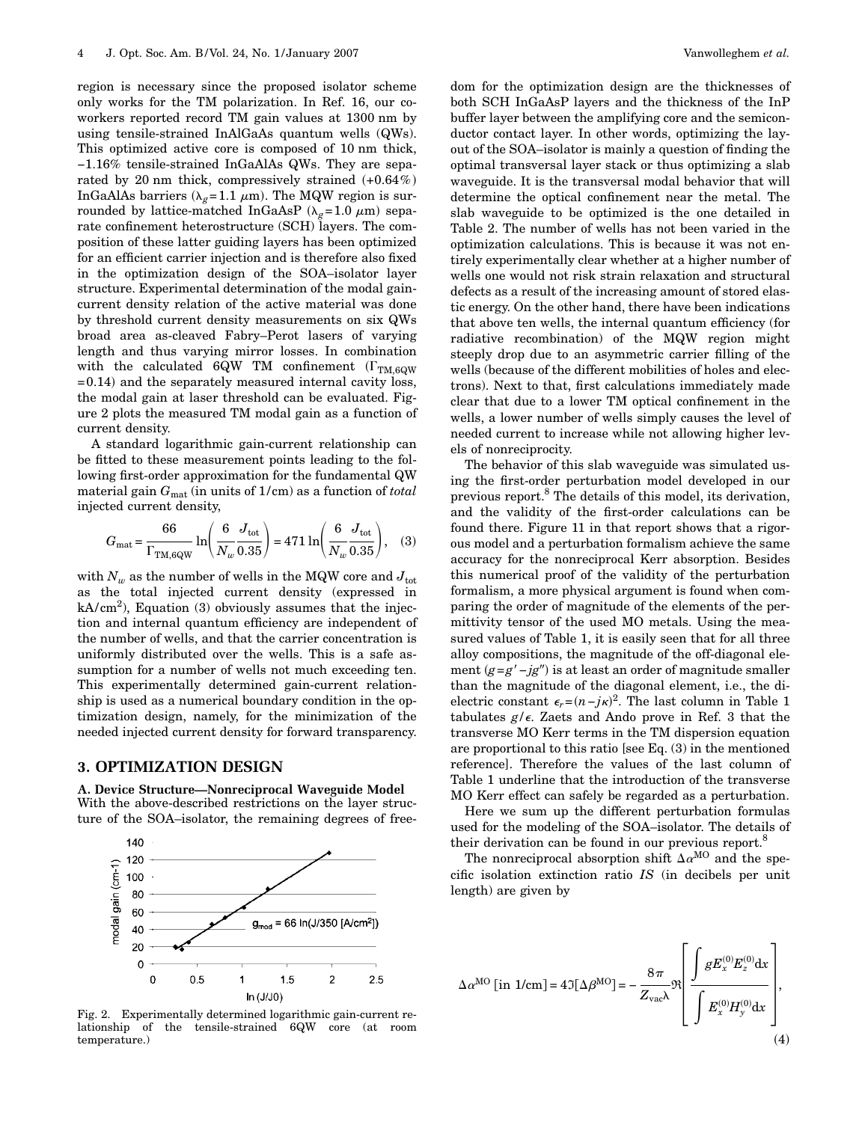region is necessary since the proposed isolator scheme only works for the TM polarization. In Ref. 16, our coworkers reported record TM gain values at 1300 nm by using tensile-strained InAlGaAs quantum wells (QWs). This optimized active core is composed of 10 nm thick, −1.16% tensile-strained InGaAlAs QWs. They are separated by 20 nm thick, compressively strained  $(+0.64\%)$ InGaAlAs barriers  $(\lambda_g=1.1 \mu m)$ . The MQW region is surrounded by lattice-matched InGaAsP  $(\lambda_g=1.0 \ \mu m)$  separate confinement heterostructure (SCH) layers. The composition of these latter guiding layers has been optimized for an efficient carrier injection and is therefore also fixed in the optimization design of the SOA–isolator layer structure. Experimental determination of the modal gaincurrent density relation of the active material was done by threshold current density measurements on six QWs broad area as-cleaved Fabry–Perot lasers of varying length and thus varying mirror losses. In combination with the calculated  $6QW$  TM confinement  $(\Gamma_{TM,6QW})$ =0.14) and the separately measured internal cavity loss, the modal gain at laser threshold can be evaluated. Figure 2 plots the measured TM modal gain as a function of current density.

A standard logarithmic gain-current relationship can be fitted to these measurement points leading to the following first-order approximation for the fundamental QW material gain  $G_{\text{mat}}$  (in units of  $1/\text{cm}$ ) as a function of *total* injected current density,

$$
G_{\text{mat}} = \frac{66}{\Gamma_{\text{TM,6QW}}} \ln \left( \frac{6}{N_w} \frac{J_{\text{tot}}}{0.35} \right) = 471 \ln \left( \frac{6}{N_w} \frac{J_{\text{tot}}}{0.35} \right), \quad (3)
$$

with  $N_w$  as the number of wells in the MQW core and  $J_{\text{tot}}$ as the total injected current density (expressed in  $kA/cm<sup>2</sup>$ ), Equation (3) obviously assumes that the injection and internal quantum efficiency are independent of the number of wells, and that the carrier concentration is uniformly distributed over the wells. This is a safe assumption for a number of wells not much exceeding ten. This experimentally determined gain-current relationship is used as a numerical boundary condition in the optimization design, namely, for the minimization of the needed injected current density for forward transparency.

## **3. OPTIMIZATION DESIGN**

**A. Device Structure—Nonreciprocal Waveguide Model** With the above-described restrictions on the layer structure of the SOA–isolator, the remaining degrees of free-



Fig. 2. Experimentally determined logarithmic gain-current relationship of the tensile-strained 6QW core (at room temperature.)

dom for the optimization design are the thicknesses of both SCH InGaAsP layers and the thickness of the InP buffer layer between the amplifying core and the semiconductor contact layer. In other words, optimizing the layout of the SOA–isolator is mainly a question of finding the optimal transversal layer stack or thus optimizing a slab waveguide. It is the transversal modal behavior that will determine the optical confinement near the metal. The slab waveguide to be optimized is the one detailed in Table 2. The number of wells has not been varied in the optimization calculations. This is because it was not entirely experimentally clear whether at a higher number of wells one would not risk strain relaxation and structural defects as a result of the increasing amount of stored elastic energy. On the other hand, there have been indications that above ten wells, the internal quantum efficiency (for radiative recombination) of the MQW region might steeply drop due to an asymmetric carrier filling of the wells (because of the different mobilities of holes and electrons). Next to that, first calculations immediately made clear that due to a lower TM optical confinement in the wells, a lower number of wells simply causes the level of needed current to increase while not allowing higher levels of nonreciprocity.

The behavior of this slab waveguide was simulated using the first-order perturbation model developed in our previous report.<sup>8</sup> The details of this model, its derivation, and the validity of the first-order calculations can be found there. Figure 11 in that report shows that a rigorous model and a perturbation formalism achieve the same accuracy for the nonreciprocal Kerr absorption. Besides this numerical proof of the validity of the perturbation formalism, a more physical argument is found when comparing the order of magnitude of the elements of the permittivity tensor of the used MO metals. Using the measured values of Table 1, it is easily seen that for all three alloy compositions, the magnitude of the off-diagonal element *g*=*g*−*jg*-- is at least an order of magnitude smaller than the magnitude of the diagonal element, i.e., the dielectric constant  $\epsilon_r = (n - j\kappa)^2$ . The last column in Table 1 tabulates  $g/\epsilon$ . Zaets and Ando prove in Ref. 3 that the transverse MO Kerr terms in the TM dispersion equation are proportional to this ratio [see Eq. (3) in the mentioned reference]. Therefore the values of the last column of Table 1 underline that the introduction of the transverse MO Kerr effect can safely be regarded as a perturbation.

Here we sum up the different perturbation formulas used for the modeling of the SOA–isolator. The details of their derivation can be found in our previous report.<sup>8</sup>

The nonreciprocal absorption shift  $\Delta \alpha^{\rm MO}$  and the specific isolation extinction ratio *IS* (in decibels per unit length) are given by

$$
\Delta \alpha^{\text{MO}} \text{ [in 1/cm]} = 4 \Im[\Delta \beta^{\text{MO}}] = -\frac{8 \pi}{Z_{\text{vac}} \lambda} \Re \left[ \frac{\int g E_x^{(0)} E_z^{(0)} dx}{\int E_x^{(0)} H_y^{(0)} dx} \right],
$$
\n(4)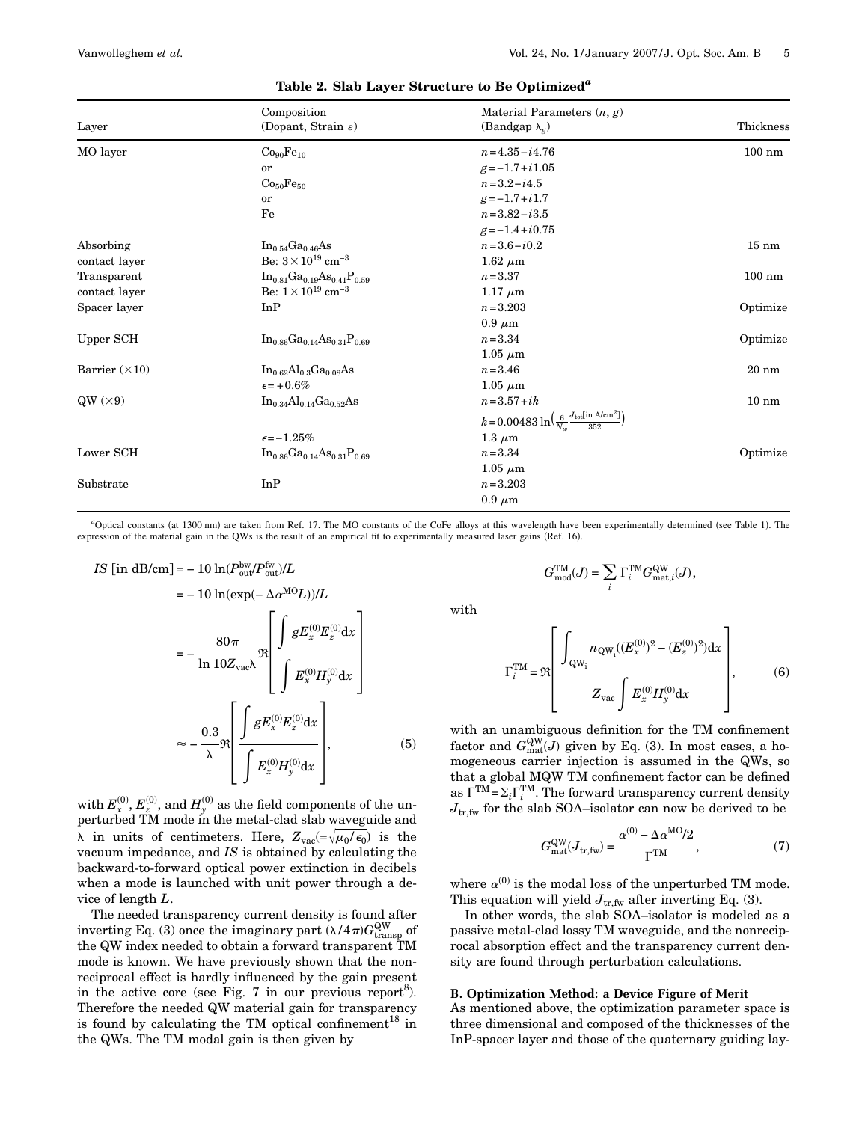|                       | Composition                             | Material Parameters $(n, g)$                                                                   |                  |
|-----------------------|-----------------------------------------|------------------------------------------------------------------------------------------------|------------------|
| Layer                 | (Dopant, Strain $\varepsilon$ )         | (Bandgap $\lambda_{\sigma}$ )                                                                  | Thickness        |
| MO layer              | Co <sub>90</sub> Fe <sub>10</sub>       | $n = 4.35 - i4.76$                                                                             | $100 \text{ nm}$ |
|                       | or                                      | $g = -1.7 + i1.05$                                                                             |                  |
|                       | $Co_{50}Fe_{50}$                        | $n = 3.2 - i4.5$                                                                               |                  |
|                       | or                                      | $g = -1.7 + i1.7$                                                                              |                  |
|                       | Fe                                      | $n = 3.82 - i3.5$                                                                              |                  |
|                       |                                         | $g = -1.4 + i0.75$                                                                             |                  |
| Absorbing             | $In_{0.54}Ga_{0.46}As$                  | $n = 3.6 - i 0.2$                                                                              | $15 \text{ nm}$  |
| contact layer         | Be: $3\times10^{19}$ $\rm cm^{-3}$      | $1.62 \mu m$                                                                                   |                  |
| Transparent           | $In_{0.81}Ga_{0.19}As_{0.41}P_{0.59}$   | $n = 3.37$                                                                                     | $100 \text{ nm}$ |
| contact layer         | Be: $1 \times 10^{19}$ cm <sup>-3</sup> | $1.17 \mu m$                                                                                   |                  |
| Spacer layer          | InP                                     | $n = 3.203$                                                                                    | Optimize         |
|                       |                                         | $0.9 \mu m$                                                                                    |                  |
| Upper SCH             | $In_{0.86}Ga_{0.14}As_{0.31}P_{0.69}$   | $n = 3.34$                                                                                     | Optimize         |
|                       |                                         | $1.05 \mu m$                                                                                   |                  |
| Barrier $(\times 10)$ | $In_{0.62}Al_{0.3}Ga_{0.08}As$          | $n = 3.46$                                                                                     | $20 \text{ nm}$  |
|                       | $\epsilon = +0.6\%$                     | $1.05 \mu m$                                                                                   |                  |
| QW(x9)                | $In_{0.34}Al_{0.14}Ga_{0.52}As$         | $n = 3.57 + ik$                                                                                | $10 \text{ nm}$  |
|                       |                                         | $k = 0.00483 \ln \left( \frac{6}{N_{\rm m}} \frac{J_{\rm tot}[\text{in A/cm}^2]}{352} \right)$ |                  |
|                       | $\epsilon = -1.25\%$                    | $1.3 \mu m$                                                                                    |                  |
| Lower SCH             | $In_{0.86}Ga_{0.14}As_{0.31}P_{0.69}$   | $n = 3.34$                                                                                     | Optimize         |
|                       |                                         | $1.05 \ \mu m$                                                                                 |                  |
| Substrate             | InP                                     | $n = 3.203$                                                                                    |                  |
|                       |                                         | $0.9~\mu{\rm m}$                                                                               |                  |

## **Table 2. Slab Layer Structure to Be Optimized***<sup>a</sup>*

"Optical constants (at 1300 nm) are taken from Ref. 17. The MO constants of the CoFe alloys at this wavelength have been experimentally determined (see Table 1). The expression of the material gain in the QWs is the result of an empirical fit to experimentally measured laser gains (Ref. 16).

$$
IS \text{ [in dB/cm]} = -10 \ln(P_{\text{out}}^{\text{bw}} / P_{\text{out}}^{\text{fw}}) / L
$$
  
= -10 \ln(\exp(-\Delta \alpha^{\text{MO}} L)) / L  
= -\frac{80 \pi}{\ln 10 Z\_{\text{vac}} \lambda} \Re \left[ \frac{\int g E\_x^{(0)} E\_z^{(0)} dx}{\int E\_x^{(0)} H\_y^{(0)} dx} \right]   
= -\frac{0.3}{\lambda} \Re \left[ \frac{\int g E\_x^{(0)} E\_z^{(0)} dx}{\int E\_x^{(0)} H\_y^{(0)} dx} \right], \quad (5)

 $\mathbf{r}$ 

with  $E_x^{(0)}, E_z^{(0)},$  and  $H_y^{(0)}$  as the field components of the unperturbed TM mode in the metal-clad slab waveguide and  $\lambda$  in units of centimeters. Here,  $Z_{\text{vac}} = \sqrt{\mu_0 / \epsilon_0}$  is the vacuum impedance, and *IS* is obtained by calculating the backward-to-forward optical power extinction in decibels when a mode is launched with unit power through a device of length *L*.

The needed transparency current density is found after inverting Eq. (3) once the imaginary part  $(\lambda/4\pi)G_{\text{transp}}^{\text{QW}}$  of the QW index needed to obtain a forward transparent TM mode is known. We have previously shown that the nonreciprocal effect is hardly influenced by the gain present in the active core (see Fig. 7 in our previous report<sup>8</sup>). Therefore the needed QW material gain for transparency is found by calculating the TM optical confinement<sup>18</sup> in the QWs. The TM modal gain is then given by

$$
G_{\text{mod}}^{\text{TM}}(J) = \sum_{i} \Gamma_{i}^{\text{TM}} G_{\text{mat},i}^{\text{QW}}(J),
$$

with

$$
\Gamma_i^{\rm TM} = \Re \left[ \frac{\int_{\rm QW_i} n_{\rm QW_i} ((E_x^{(0)})^2 - (E_z^{(0)})^2) dx}{Z_{\rm vac} \int E_x^{(0)} H_y^{(0)} dx} \right],
$$
 (6)

with an unambiguous definition for the TM confinement factor and  $G_{\text{mat}}^{\text{QW}}(J)$  given by Eq. (3). In most cases, a homogeneous carrier injection is assumed in the QWs, so that a global MQW TM confinement factor can be defined as  $\Gamma^{\text{TM}}\text{=}\Sigma_i\Gamma_i^{\text{TM}}$ . The forward transparency current density *J*tr,fw for the slab SOA–isolator can now be derived to be

$$
G_{\text{mat}}^{\text{QW}}(J_{\text{tr,fw}}) = \frac{\alpha^{(0)} - \Delta \alpha^{\text{MO}}/2}{\Gamma^{\text{TM}}},\tag{7}
$$

where  $\alpha^{(0)}$  is the modal loss of the unperturbed TM mode. This equation will yield  $J_{tr,fw}$  after inverting Eq. (3).

In other words, the slab SOA–isolator is modeled as a passive metal-clad lossy TM waveguide, and the nonreciprocal absorption effect and the transparency current density are found through perturbation calculations.

#### **B. Optimization Method: a Device Figure of Merit**

As mentioned above, the optimization parameter space is three dimensional and composed of the thicknesses of the InP-spacer layer and those of the quaternary guiding lay-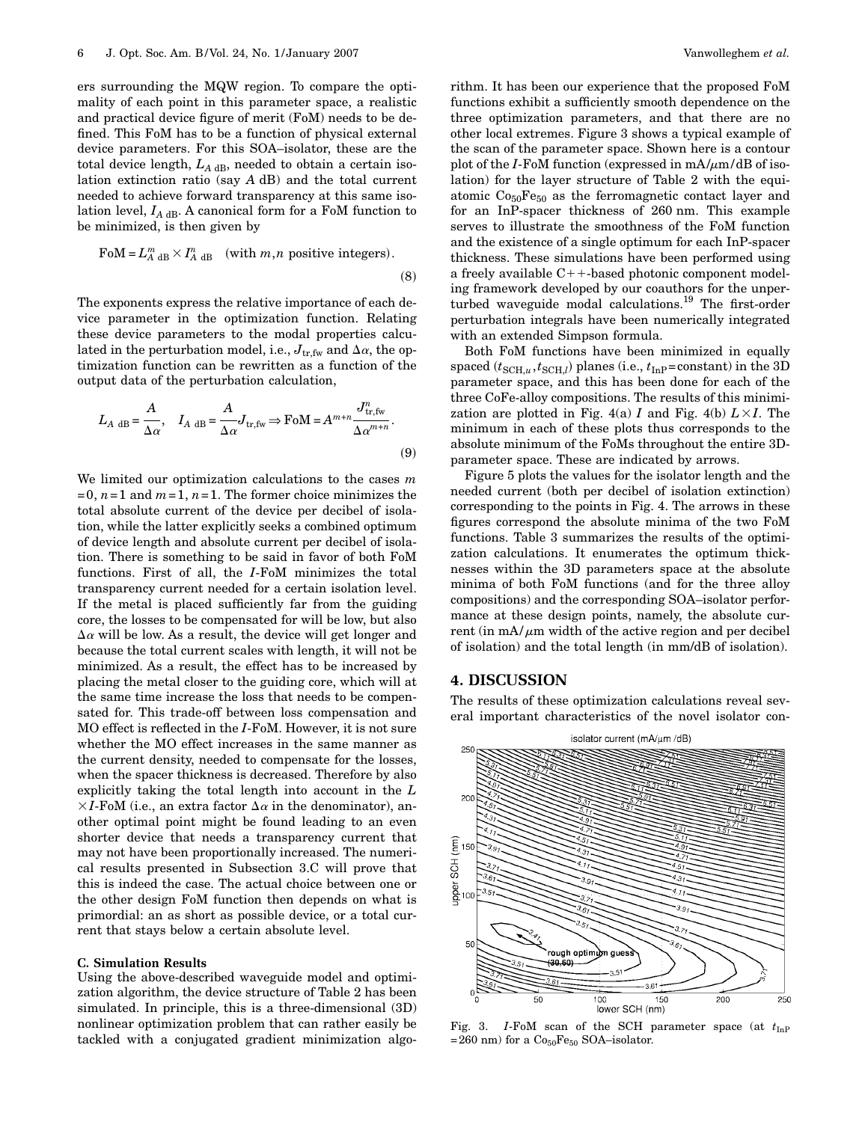ers surrounding the MQW region. To compare the optimality of each point in this parameter space, a realistic and practical device figure of merit (FoM) needs to be defined. This FoM has to be a function of physical external device parameters. For this SOA–isolator, these are the total device length,  $L_{A\text{ dB}}$ , needed to obtain a certain isolation extinction ratio (say *A* dB) and the total current needed to achieve forward transparency at this same isolation level,  $I_{A dB}$ . A canonical form for a FoM function to be minimized, is then given by

$$
\text{FoM} = L_A^m \, \text{dB} \times I_A^n \, \text{dB} \quad \text{(with } m, n \text{ positive integers)}.
$$
\n
$$
\tag{8}
$$

The exponents express the relative importance of each device parameter in the optimization function. Relating these device parameters to the modal properties calculated in the perturbation model, i.e.,  $J_\mathrm{tr,fw}$  and  $\Delta\alpha$ , the optimization function can be rewritten as a function of the output data of the perturbation calculation,

$$
L_{A \text{ dB}} = \frac{A}{\Delta \alpha}, \quad I_{A \text{ dB}} = \frac{A}{\Delta \alpha} J_{\text{tr,fw}} \Rightarrow \text{FoM} = A^{m+n} \frac{J_{\text{tr,fw}}^n}{\Delta \alpha^{m+n}}.
$$
\n(9)

We limited our optimization calculations to the cases *m*  $=0, n=1$  and  $m=1, n=1$ . The former choice minimizes the total absolute current of the device per decibel of isolation, while the latter explicitly seeks a combined optimum of device length and absolute current per decibel of isolation. There is something to be said in favor of both FoM functions. First of all, the *I*-FoM minimizes the total transparency current needed for a certain isolation level. If the metal is placed sufficiently far from the guiding core, the losses to be compensated for will be low, but also  $\Delta \alpha$  will be low. As a result, the device will get longer and because the total current scales with length, it will not be minimized. As a result, the effect has to be increased by placing the metal closer to the guiding core, which will at the same time increase the loss that needs to be compensated for. This trade-off between loss compensation and MO effect is reflected in the *I*-FoM. However, it is not sure whether the MO effect increases in the same manner as the current density, needed to compensate for the losses, when the spacer thickness is decreased. Therefore by also explicitly taking the total length into account in the *L*  $\times I$ -FoM (i.e., an extra factor  $\Delta \alpha$  in the denominator), another optimal point might be found leading to an even shorter device that needs a transparency current that may not have been proportionally increased. The numerical results presented in Subsection 3.C will prove that this is indeed the case. The actual choice between one or the other design FoM function then depends on what is primordial: an as short as possible device, or a total current that stays below a certain absolute level.

#### **C. Simulation Results**

Using the above-described waveguide model and optimization algorithm, the device structure of Table 2 has been simulated. In principle, this is a three-dimensional (3D) nonlinear optimization problem that can rather easily be tackled with a conjugated gradient minimization algorithm. It has been our experience that the proposed FoM functions exhibit a sufficiently smooth dependence on the three optimization parameters, and that there are no other local extremes. Figure 3 shows a typical example of the scan of the parameter space. Shown here is a contour plot of the *I*-FoM function (expressed in  $mA/\mu m/dB$  of isolation) for the layer structure of Table 2 with the equiatomic  $Co<sub>50</sub>Fe<sub>50</sub>$  as the ferromagnetic contact layer and for an InP-spacer thickness of 260 nm. This example serves to illustrate the smoothness of the FoM function and the existence of a single optimum for each InP-spacer thickness. These simulations have been performed using a freely available  $C_{++}$ -based photonic component modeling framework developed by our coauthors for the unperturbed waveguide modal calculations.<sup>19</sup> The first-order perturbation integrals have been numerically integrated with an extended Simpson formula.

Both FoM functions have been minimized in equally spaced  $(t_{\text{SCH},u}, t_{\text{SCH},l})$  planes (i.e.,  $t_{\text{InP}}$ =constant) in the 3D parameter space, and this has been done for each of the three CoFe-alloy compositions. The results of this minimization are plotted in Fig.  $4(a) I$  and Fig.  $4(b) L \times I$ . The minimum in each of these plots thus corresponds to the absolute minimum of the FoMs throughout the entire 3Dparameter space. These are indicated by arrows.

Figure 5 plots the values for the isolator length and the needed current (both per decibel of isolation extinction) corresponding to the points in Fig. 4. The arrows in these figures correspond the absolute minima of the two FoM functions. Table 3 summarizes the results of the optimization calculations. It enumerates the optimum thicknesses within the 3D parameters space at the absolute minima of both FoM functions (and for the three alloy compositions) and the corresponding SOA–isolator performance at these design points, namely, the absolute current (in  $mA/\mu m$  width of the active region and per decibel of isolation) and the total length (in mm/dB of isolation).

#### **4. DISCUSSION**

The results of these optimization calculations reveal several important characteristics of the novel isolator con-



Fig. 3. *I*-FoM scan of the SCH parameter space (at  $t_{\text{InP}}$ =260 nm) for a  $Co<sub>50</sub>Fe<sub>50</sub>$  SOA–isolator.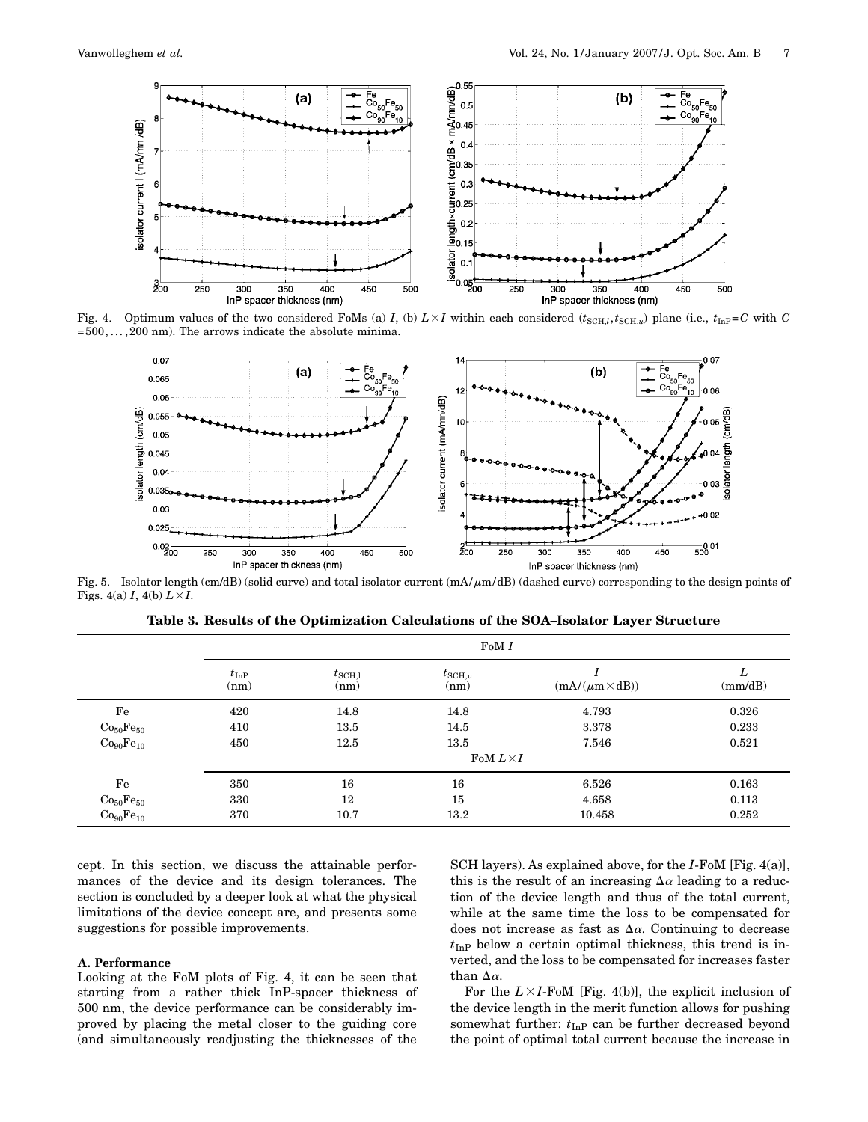

Fig. 4. Optimum values of the two considered FoMs (a) *I*, (b)  $L \times I$  within each considered  $(t_{\text{SCH},l}, t_{\text{SCH},u})$  plane (i.e.,  $t_{\text{InP}} = C$  with *C*  $=500, \ldots, 200$  nm). The arrows indicate the absolute minima.



Fig. 5. Isolator length (cm/dB) (solid curve) and total isolator current (mA/ $\mu$ m/dB) (dashed curve) corresponding to the design points of Figs. 4(a)  $I$ , 4(b)  $L \times I$ .

|                                                                                                    | FoM I                 |                         |                         |                          |              |  |  |
|----------------------------------------------------------------------------------------------------|-----------------------|-------------------------|-------------------------|--------------------------|--------------|--|--|
|                                                                                                    | $t_{\rm InP}$<br>(nm) | $t_{\rm SCH,l}$<br>(nm) | $t_{\rm SCH,u}$<br>(nm) | $(mA/(\mu m \times dB))$ | ⊥<br>(mm/dB) |  |  |
| Fe                                                                                                 | 420                   | 14.8                    | 14.8                    | 4.793                    | 0.326        |  |  |
| Co <sub>50</sub> Fe <sub>50</sub>                                                                  | 410                   | 13.5                    | 14.5                    | 3.378                    | 0.233        |  |  |
| Co <sub>90</sub> Fe <sub>10</sub>                                                                  | 450                   | 12.5                    | 13.5                    | 7.546                    | 0.521        |  |  |
|                                                                                                    |                       | FoM $L \times I$        |                         |                          |              |  |  |
| Fe                                                                                                 | 350                   | 16                      | 16                      | 6.526                    | 0.163        |  |  |
|                                                                                                    | 330                   | 12                      | 15                      | 4.658                    | 0.113        |  |  |
| $\begin{array}{l} \mathrm{Co}_{50}\mathrm{Fe}_{50}\\ \mathrm{Co}_{90}\mathrm{Fe}_{10} \end{array}$ | 370                   | 10.7                    | 13.2                    | 10.458                   | 0.252        |  |  |

**Table 3. Results of the Optimization Calculations of the SOA–Isolator Layer Structure**

cept. In this section, we discuss the attainable performances of the device and its design tolerances. The section is concluded by a deeper look at what the physical limitations of the device concept are, and presents some suggestions for possible improvements.

#### **A. Performance**

Looking at the FoM plots of Fig. 4, it can be seen that starting from a rather thick InP-spacer thickness of 500 nm, the device performance can be considerably improved by placing the metal closer to the guiding core (and simultaneously readjusting the thicknesses of the

SCH layers). As explained above, for the *I*-FoM [Fig. 4(a)], this is the result of an increasing  $\Delta \alpha$  leading to a reduction of the device length and thus of the total current, while at the same time the loss to be compensated for does not increase as fast as  $\Delta \alpha$ . Continuing to decrease  $t_{\text{InP}}$  below a certain optimal thickness, this trend is inverted, and the loss to be compensated for increases faster than  $\Delta \alpha$ .

For the  $L \times I$ -FoM [Fig. 4(b)], the explicit inclusion of the device length in the merit function allows for pushing somewhat further:  $t_{\text{InP}}$  can be further decreased beyond the point of optimal total current because the increase in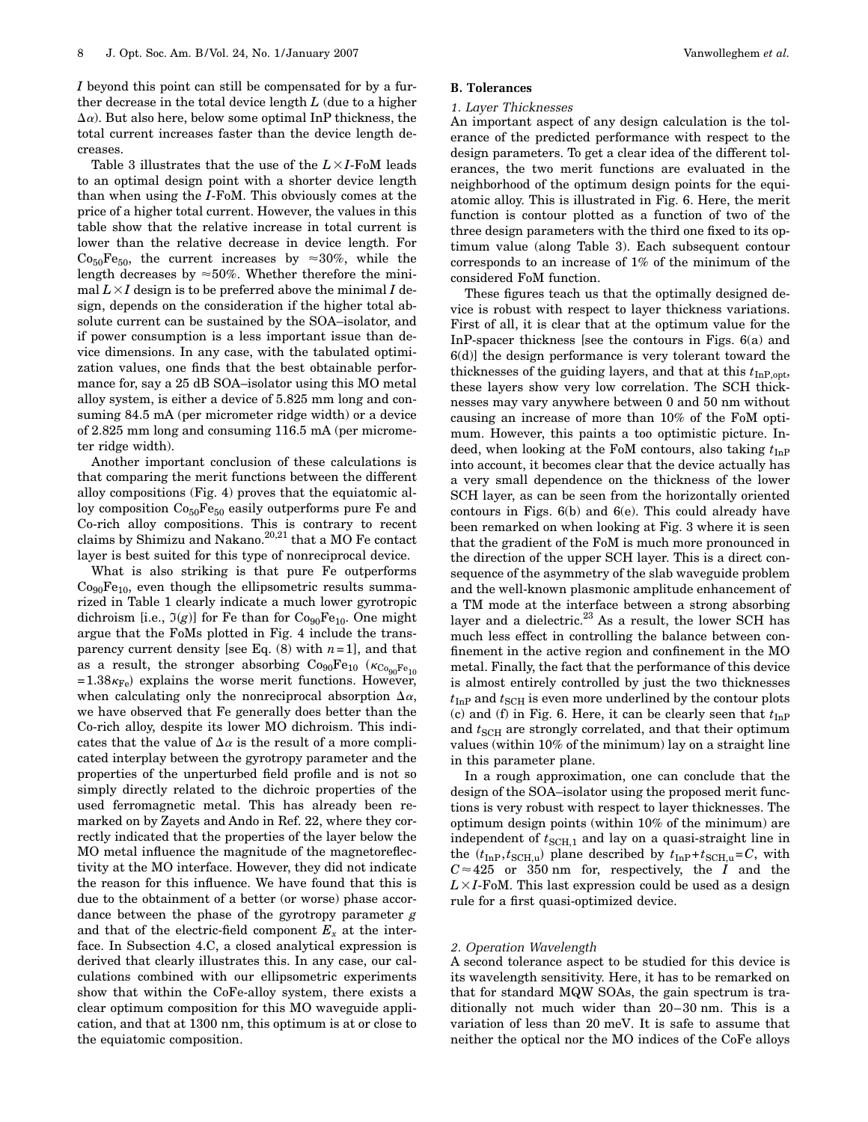*I* beyond this point can still be compensated for by a further decrease in the total device length *L* (due to a higher  $\Delta \alpha$ ). But also here, below some optimal InP thickness, the total current increases faster than the device length decreases.

Table 3 illustrates that the use of the  $L \times I$ -FoM leads to an optimal design point with a shorter device length than when using the *I*-FoM. This obviously comes at the price of a higher total current. However, the values in this table show that the relative increase in total current is lower than the relative decrease in device length. For  $Co_{50}Fe_{50}$ , the current increases by  $\approx 30\%$ , while the length decreases by  $\approx 50\%$ . Whether therefore the minimal  $L \times I$  design is to be preferred above the minimal *I* design, depends on the consideration if the higher total absolute current can be sustained by the SOA–isolator, and if power consumption is a less important issue than device dimensions. In any case, with the tabulated optimization values, one finds that the best obtainable performance for, say a 25 dB SOA–isolator using this MO metal alloy system, is either a device of 5.825 mm long and consuming 84.5 mA (per micrometer ridge width) or a device of 2.825 mm long and consuming 116.5 mA (per micrometer ridge width).

Another important conclusion of these calculations is that comparing the merit functions between the different alloy compositions (Fig. 4) proves that the equiatomic alloy composition  $Co<sub>50</sub>Fe<sub>50</sub>$  easily outperforms pure Fe and Co-rich alloy compositions. This is contrary to recent claims by Shimizu and Nakano.<sup>20,21</sup> that a MO Fe contact layer is best suited for this type of nonreciprocal device.

What is also striking is that pure Fe outperforms  $Co<sub>90</sub>Fe<sub>10</sub>$ , even though the ellipsometric results summarized in Table 1 clearly indicate a much lower gyrotropic dichroism [i.e.,  $\mathfrak{I}(g)$ ] for Fe than for Co<sub>90</sub>Fe<sub>10</sub>. One might argue that the FoMs plotted in Fig. 4 include the transparency current density [see Eq. (8) with *n*=1], and that as a result, the stronger absorbing  $Co_{90}Fe_{10}$  ( $\kappa_{Co_{90}Fe_{10}}$  $=1.38\kappa_{\text{Fe}}$  explains the worse merit functions. However, when calculating only the nonreciprocal absorption  $\Delta \alpha$ , we have observed that Fe generally does better than the Co-rich alloy, despite its lower MO dichroism. This indicates that the value of  $\Delta \alpha$  is the result of a more complicated interplay between the gyrotropy parameter and the properties of the unperturbed field profile and is not so simply directly related to the dichroic properties of the used ferromagnetic metal. This has already been remarked on by Zayets and Ando in Ref. 22, where they correctly indicated that the properties of the layer below the MO metal influence the magnitude of the magnetoreflectivity at the MO interface. However, they did not indicate the reason for this influence. We have found that this is due to the obtainment of a better (or worse) phase accordance between the phase of the gyrotropy parameter *g* and that of the electric-field component  $E<sub>x</sub>$  at the interface. In Subsection 4.C, a closed analytical expression is derived that clearly illustrates this. In any case, our calculations combined with our ellipsometric experiments show that within the CoFe-alloy system, there exists a clear optimum composition for this MO waveguide application, and that at 1300 nm, this optimum is at or close to the equiatomic composition.

#### **B. Tolerances**

#### *1. Layer Thicknesses*

An important aspect of any design calculation is the tolerance of the predicted performance with respect to the design parameters. To get a clear idea of the different tolerances, the two merit functions are evaluated in the neighborhood of the optimum design points for the equiatomic alloy. This is illustrated in Fig. 6. Here, the merit function is contour plotted as a function of two of the three design parameters with the third one fixed to its optimum value (along Table 3). Each subsequent contour corresponds to an increase of 1% of the minimum of the considered FoM function.

These figures teach us that the optimally designed device is robust with respect to layer thickness variations. First of all, it is clear that at the optimum value for the InP-spacer thickness [see the contours in Figs. 6(a) and 6(d)] the design performance is very tolerant toward the thicknesses of the guiding layers, and that at this  $t_{\text{InP,}opt}$ , these layers show very low correlation. The SCH thicknesses may vary anywhere between 0 and 50 nm without causing an increase of more than 10% of the FoM optimum. However, this paints a too optimistic picture. Indeed, when looking at the FoM contours, also taking  $t_{\text{InP}}$ into account, it becomes clear that the device actually has a very small dependence on the thickness of the lower SCH layer, as can be seen from the horizontally oriented contours in Figs. 6(b) and 6(e). This could already have been remarked on when looking at Fig. 3 where it is seen that the gradient of the FoM is much more pronounced in the direction of the upper SCH layer. This is a direct consequence of the asymmetry of the slab waveguide problem and the well-known plasmonic amplitude enhancement of a TM mode at the interface between a strong absorbing layer and a dielectric.<sup>23</sup> As a result, the lower SCH has much less effect in controlling the balance between confinement in the active region and confinement in the MO metal. Finally, the fact that the performance of this device is almost entirely controlled by just the two thicknesses  $t_{\text{InP}}$  and  $t_{\text{SCH}}$  is even more underlined by the contour plots (c) and (f) in Fig. 6. Here, it can be clearly seen that  $t_{\text{InP}}$ and  $t_{\text{SCH}}$  are strongly correlated, and that their optimum values (within 10% of the minimum) lay on a straight line in this parameter plane.

In a rough approximation, one can conclude that the design of the SOA–isolator using the proposed merit functions is very robust with respect to layer thicknesses. The optimum design points (within 10% of the minimum) are independent of  $t_{\text{SCH.1}}$  and lay on a quasi-straight line in the  $(t_{\text{InP}}, t_{\text{SCH,u}})$  plane described by  $t_{\text{InP}}+t_{\text{SCH,u}}=C$ , with  $C \approx 425$  or 350 nm for, respectively, the *I* and the  $L \times I$ -FoM. This last expression could be used as a design rule for a first quasi-optimized device.

#### *2. Operation Wavelength*

A second tolerance aspect to be studied for this device is its wavelength sensitivity. Here, it has to be remarked on that for standard MQW SOAs, the gain spectrum is traditionally not much wider than 20–30 nm. This is a variation of less than 20 meV. It is safe to assume that neither the optical nor the MO indices of the CoFe alloys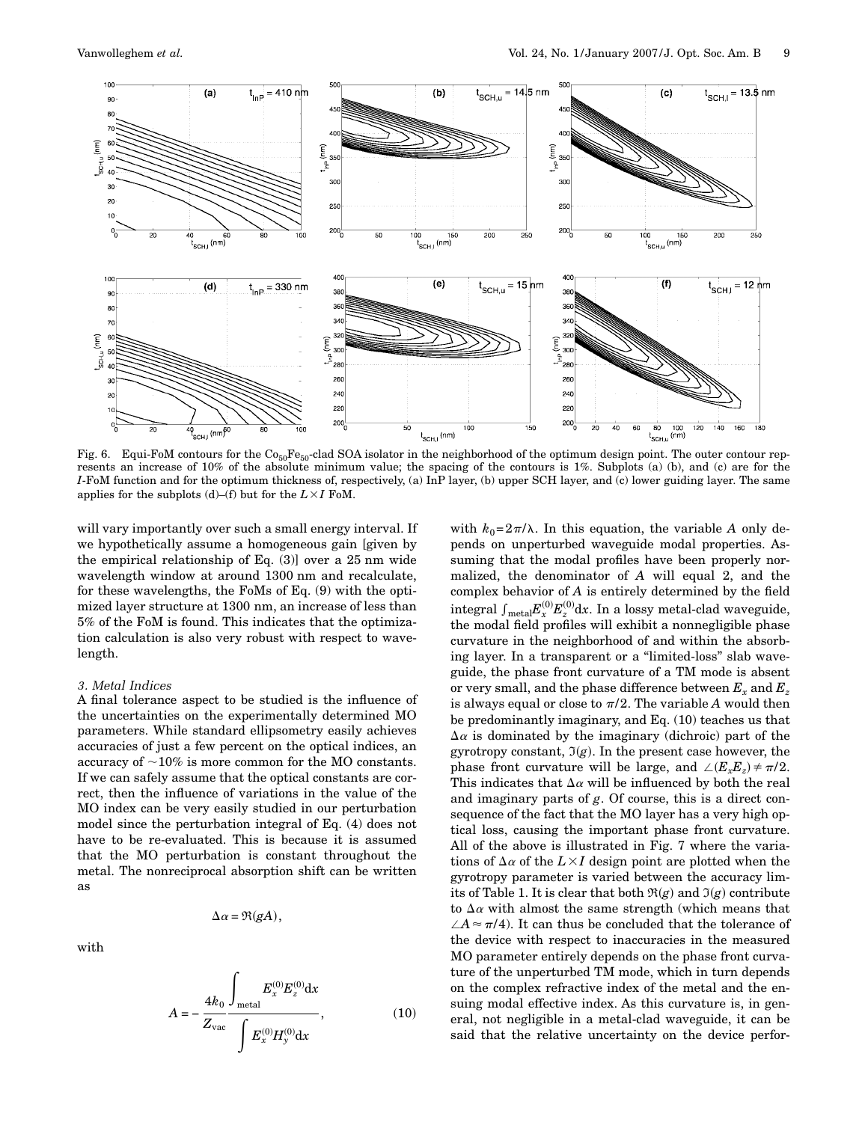

Fig. 6. Equi-FoM contours for the Co<sub>50</sub>Fe<sub>50</sub>-clad SOA isolator in the neighborhood of the optimum design point. The outer contour represents an increase of 10% of the absolute minimum value; the spacing of the contours is 1%. Subplots (a) (b), and (c) are for the *I*-FoM function and for the optimum thickness of, respectively, (a) InP layer, (b) upper SCH layer, and (c) lower guiding layer. The same applies for the subplots (d)–(f) but for the  $L \times I$  FoM.

will vary importantly over such a small energy interval. If we hypothetically assume a homogeneous gain [given by the empirical relationship of Eq. (3)] over a 25 nm wide wavelength window at around 1300 nm and recalculate, for these wavelengths, the FoMs of Eq. (9) with the optimized layer structure at 1300 nm, an increase of less than 5% of the FoM is found. This indicates that the optimization calculation is also very robust with respect to wavelength.

#### *3. Metal Indices*

A final tolerance aspect to be studied is the influence of the uncertainties on the experimentally determined MO parameters. While standard ellipsometry easily achieves accuracies of just a few percent on the optical indices, an accuracy of  $\sim$ 10% is more common for the MO constants. If we can safely assume that the optical constants are correct, then the influence of variations in the value of the MO index can be very easily studied in our perturbation model since the perturbation integral of Eq. (4) does not have to be re-evaluated. This is because it is assumed that the MO perturbation is constant throughout the metal. The nonreciprocal absorption shift can be written as

 $\Delta \alpha = \Re(gA),$ 

with

$$
A = -\frac{4k_0}{Z_{\text{vac}}} \frac{\int_{\text{metal}} E_x^{(0)} E_z^{(0)} dx}{\int E_x^{(0)} H_y^{(0)} dx},
$$
(10)

with  $k_0=2\pi/\lambda$ . In this equation, the variable *A* only depends on unperturbed waveguide modal properties. Assuming that the modal profiles have been properly normalized, the denominator of *A* will equal 2, and the complex behavior of *A* is entirely determined by the field  ${\rm integral} \int_{{\rm metal}}\! E^{(0)}_x E^{(0)}_z{\rm d}x.$  In a lossy metal-clad waveguide, the modal field profiles will exhibit a nonnegligible phase curvature in the neighborhood of and within the absorbing layer. In a transparent or a "limited-loss" slab waveguide, the phase front curvature of a TM mode is absent or very small, and the phase difference between  $E_x$  and  $E_z$ is always equal or close to  $\pi/2$ . The variable *A* would then be predominantly imaginary, and Eq. (10) teaches us that  $\Delta \alpha$  is dominated by the imaginary (dichroic) part of the gyrotropy constant,  $\mathfrak{I}(g)$ . In the present case however, the phase front curvature will be large, and  $\angle (E_x E_z) \neq \pi/2$ . This indicates that  $\Delta \alpha$  will be influenced by both the real and imaginary parts of *g*. Of course, this is a direct consequence of the fact that the MO layer has a very high optical loss, causing the important phase front curvature. All of the above is illustrated in Fig. 7 where the variations of  $\Delta \alpha$  of the  $L \times I$  design point are plotted when the gyrotropy parameter is varied between the accuracy limits of Table 1. It is clear that both  $\Re(g)$  and  $\Im(g)$  contribute to  $\Delta \alpha$  with almost the same strength (which means that  $\angle A \approx \pi/4$ ). It can thus be concluded that the tolerance of the device with respect to inaccuracies in the measured MO parameter entirely depends on the phase front curvature of the unperturbed TM mode, which in turn depends on the complex refractive index of the metal and the ensuing modal effective index. As this curvature is, in general, not negligible in a metal-clad waveguide, it can be said that the relative uncertainty on the device perfor-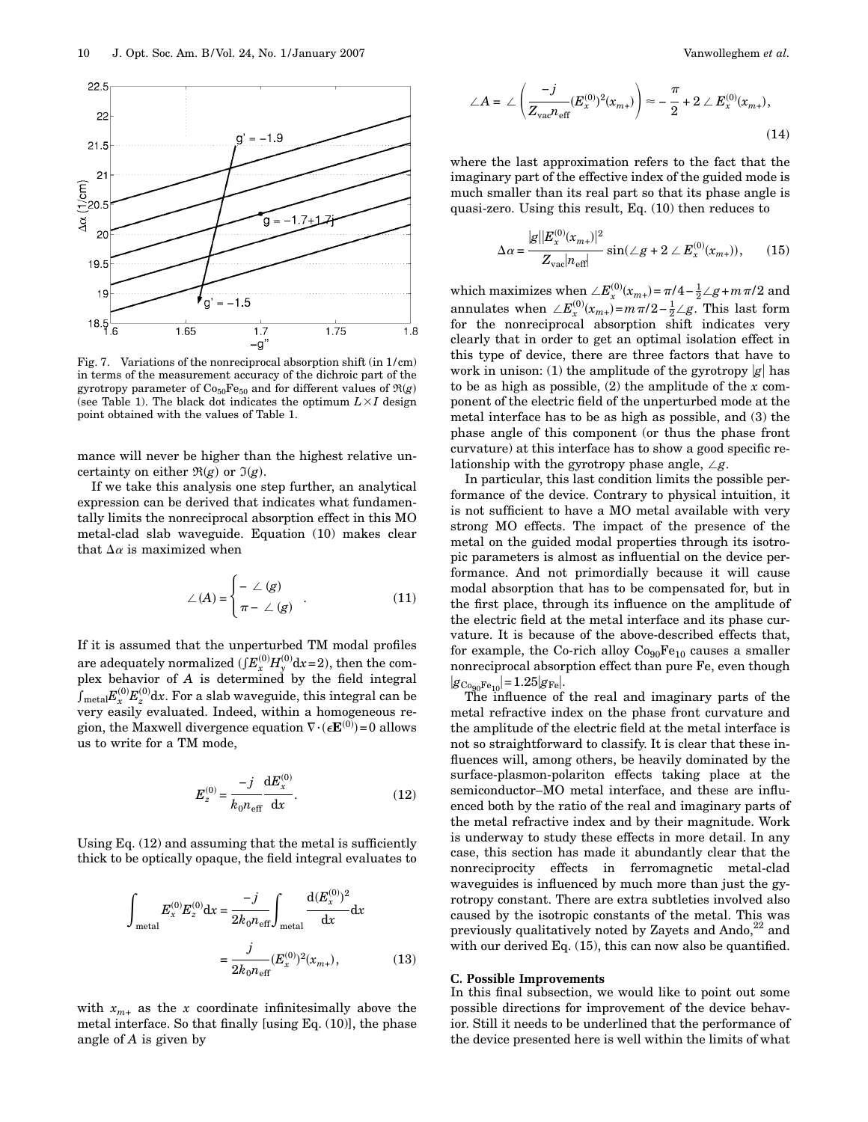

Fig. 7. Variations of the nonreciprocal absorption shift (in 1/cm) in terms of the measurement accuracy of the dichroic part of the gyrotropy parameter of  $Co_{50}Fe_{50}$  and for different values of  $\Re(g)$ (see Table 1). The black dot indicates the optimum  $L \times I$  design point obtained with the values of Table 1.

mance will never be higher than the highest relative uncertainty on either  $\Re(g)$  or  $\Im(g)$ .

If we take this analysis one step further, an analytical expression can be derived that indicates what fundamentally limits the nonreciprocal absorption effect in this MO metal-clad slab waveguide. Equation (10) makes clear that  $\Delta \alpha$  is maximized when

$$
\angle(A) = \begin{cases} - \angle(g) \\ \pi - \angle(g) \end{cases} . \tag{11}
$$

If it is assumed that the unperturbed TM modal profiles are adequately normalized  $(\int \! E^{(0)}_x \! H^{(0)}_y \! {\rm d}x \! = \! 2),$  then the complex behavior of *A* is determined by the field integral  $\int_{\text{metal}}\! E_{_X}^{(0)}E_{_Z}^{(0)} \text{d}x.$  For a slab waveguide, this integral can be very easily evaluated. Indeed, within a homogeneous region, the Maxwell divergence equation  $\nabla \cdot (\epsilon \mathbf{E}^{(0)}) = 0$  allows us to write for a TM mode,

$$
E_z^{(0)} = \frac{-j}{k_0 n_{\text{eff}}} \frac{\mathrm{d}E_x^{(0)}}{\mathrm{d}x}.
$$
 (12)

Using Eq. (12) and assuming that the metal is sufficiently thick to be optically opaque, the field integral evaluates to

$$
\int_{\text{metal}} E_x^{(0)} E_z^{(0)} dx = \frac{-j}{2k_0 n_{\text{eff}}} \int_{\text{metal}} \frac{d(E_x^{(0)})^2}{dx} dx
$$

$$
= \frac{j}{2k_0 n_{\text{eff}}} (E_x^{(0)})^2 (x_{m+}), \tag{13}
$$

with  $x_{m+}$  as the *x* coordinate infinitesimally above the metal interface. So that finally [using Eq. (10)], the phase angle of *A* is given by

$$
\angle A = \angle \left( \frac{-j}{Z_{\text{vac}} n_{\text{eff}}} (E_x^{(0)})^2 (x_{m+}) \right) \approx -\frac{\pi}{2} + 2 \angle E_x^{(0)} (x_{m+}),
$$
\n(14)

where the last approximation refers to the fact that the imaginary part of the effective index of the guided mode is much smaller than its real part so that its phase angle is quasi-zero. Using this result, Eq. (10) then reduces to

$$
\Delta \alpha = \frac{|g||E_x^{(0)}(x_{m+})|^2}{Z_{\text{vac}}|n_{\text{eff}}|} \sin(\angle g + 2 \angle E_x^{(0)}(x_{m+})), \quad (15)
$$

which maximizes when  $\angle E_x^{(0)}(x_{m+}) = \pi/4 - \frac{1}{2}\angle g + m\pi/2$  and annulates when  $\angle E_x^{(0)}(x_{m+}) = m\pi/2 - \frac{1}{2}\angle g$ . This last form for the nonreciprocal absorption shift indicates very clearly that in order to get an optimal isolation effect in this type of device, there are three factors that have to work in unison: (1) the amplitude of the gyrotropy  $|g|$  has to be as high as possible, (2) the amplitude of the *x* component of the electric field of the unperturbed mode at the metal interface has to be as high as possible, and (3) the phase angle of this component (or thus the phase front curvature) at this interface has to show a good specific relationship with the gyrotropy phase angle,  $\angle g$ .

In particular, this last condition limits the possible performance of the device. Contrary to physical intuition, it is not sufficient to have a MO metal available with very strong MO effects. The impact of the presence of the metal on the guided modal properties through its isotropic parameters is almost as influential on the device performance. And not primordially because it will cause modal absorption that has to be compensated for, but in the first place, through its influence on the amplitude of the electric field at the metal interface and its phase curvature. It is because of the above-described effects that, for example, the Co-rich alloy  $Co<sub>90</sub>Fe<sub>10</sub>$  causes a smaller nonreciprocal absorption effect than pure Fe, even though  $|g_{\text{CogoFe}_{10}}|=1.25|g_{\text{Fe}}|$ .

The influence of the real and imaginary parts of the metal refractive index on the phase front curvature and the amplitude of the electric field at the metal interface is not so straightforward to classify. It is clear that these influences will, among others, be heavily dominated by the surface-plasmon-polariton effects taking place at the semiconductor–MO metal interface, and these are influenced both by the ratio of the real and imaginary parts of the metal refractive index and by their magnitude. Work is underway to study these effects in more detail. In any case, this section has made it abundantly clear that the nonreciprocity effects in ferromagnetic metal-clad waveguides is influenced by much more than just the gyrotropy constant. There are extra subtleties involved also caused by the isotropic constants of the metal. This was previously qualitatively noted by Zayets and Ando,<sup>22</sup> and with our derived Eq. (15), this can now also be quantified.

#### **C. Possible Improvements**

In this final subsection, we would like to point out some possible directions for improvement of the device behavior. Still it needs to be underlined that the performance of the device presented here is well within the limits of what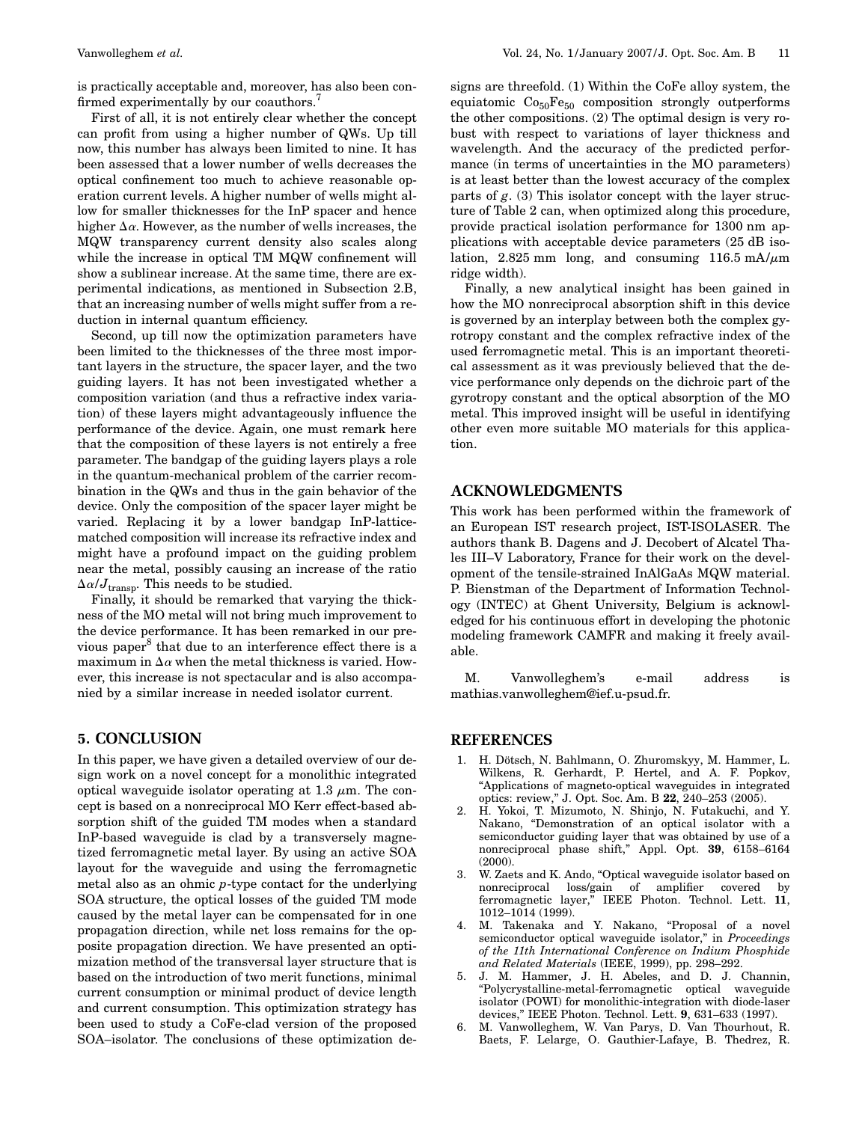is practically acceptable and, moreover, has also been confirmed experimentally by our coauthors.<sup>7</sup>

First of all, it is not entirely clear whether the concept can profit from using a higher number of QWs. Up till now, this number has always been limited to nine. It has been assessed that a lower number of wells decreases the optical confinement too much to achieve reasonable operation current levels. A higher number of wells might allow for smaller thicknesses for the InP spacer and hence higher  $\Delta \alpha$ . However, as the number of wells increases, the MQW transparency current density also scales along while the increase in optical TM MQW confinement will show a sublinear increase. At the same time, there are experimental indications, as mentioned in Subsection 2.B, that an increasing number of wells might suffer from a reduction in internal quantum efficiency.

Second, up till now the optimization parameters have been limited to the thicknesses of the three most important layers in the structure, the spacer layer, and the two guiding layers. It has not been investigated whether a composition variation (and thus a refractive index variation) of these layers might advantageously influence the performance of the device. Again, one must remark here that the composition of these layers is not entirely a free parameter. The bandgap of the guiding layers plays a role in the quantum-mechanical problem of the carrier recombination in the QWs and thus in the gain behavior of the device. Only the composition of the spacer layer might be varied. Replacing it by a lower bandgap InP-latticematched composition will increase its refractive index and might have a profound impact on the guiding problem near the metal, possibly causing an increase of the ratio  $\Delta \alpha / J_{\rm{transport}}$ . This needs to be studied.

Finally, it should be remarked that varying the thickness of the MO metal will not bring much improvement to the device performance. It has been remarked in our previous paper<sup>8</sup> that due to an interference effect there is a maximum in  $\Delta\alpha$  when the metal thickness is varied. However, this increase is not spectacular and is also accompanied by a similar increase in needed isolator current.

# **5. CONCLUSION**

In this paper, we have given a detailed overview of our design work on a novel concept for a monolithic integrated optical waveguide isolator operating at 1.3  $\mu$ m. The concept is based on a nonreciprocal MO Kerr effect-based absorption shift of the guided TM modes when a standard InP-based waveguide is clad by a transversely magnetized ferromagnetic metal layer. By using an active SOA layout for the waveguide and using the ferromagnetic metal also as an ohmic *p*-type contact for the underlying SOA structure, the optical losses of the guided TM mode caused by the metal layer can be compensated for in one propagation direction, while net loss remains for the opposite propagation direction. We have presented an optimization method of the transversal layer structure that is based on the introduction of two merit functions, minimal current consumption or minimal product of device length and current consumption. This optimization strategy has been used to study a CoFe-clad version of the proposed SOA–isolator. The conclusions of these optimization designs are threefold. (1) Within the CoFe alloy system, the equiatomic  $Co<sub>50</sub>Fe<sub>50</sub>$  composition strongly outperforms the other compositions. (2) The optimal design is very robust with respect to variations of layer thickness and wavelength. And the accuracy of the predicted performance (in terms of uncertainties in the MO parameters) is at least better than the lowest accuracy of the complex parts of *g*. (3) This isolator concept with the layer structure of Table 2 can, when optimized along this procedure, provide practical isolation performance for 1300 nm applications with acceptable device parameters (25 dB isolation, 2.825 mm long, and consuming  $116.5 \text{ mA}/\mu\text{m}$ ridge width).

Finally, a new analytical insight has been gained in how the MO nonreciprocal absorption shift in this device is governed by an interplay between both the complex gyrotropy constant and the complex refractive index of the used ferromagnetic metal. This is an important theoretical assessment as it was previously believed that the device performance only depends on the dichroic part of the gyrotropy constant and the optical absorption of the MO metal. This improved insight will be useful in identifying other even more suitable MO materials for this application.

## **ACKNOWLEDGMENTS**

This work has been performed within the framework of an European IST research project, IST-ISOLASER. The authors thank B. Dagens and J. Decobert of Alcatel Thales III–V Laboratory, France for their work on the development of the tensile-strained InAlGaAs MQW material. P. Bienstman of the Department of Information Technology (INTEC) at Ghent University, Belgium is acknowledged for his continuous effort in developing the photonic modeling framework CAMFR and making it freely available.

M. Vanwolleghem's e-mail address is mathias.vanwolleghem@ief.u-psud.fr.

## **REFERENCES**

- 1. H. Dötsch, N. Bahlmann, O. Zhuromskyy, M. Hammer, L. Wilkens, R. Gerhardt, P. Hertel, and A. F. Popkov, "Applications of magneto-optical waveguides in integrated optics: review," J. Opt. Soc. Am. B **22**, 240–253 (2005).
- 2. H. Yokoi, T. Mizumoto, N. Shinjo, N. Futakuchi, and Y. Nakano, "Demonstration of an optical isolator with a semiconductor guiding layer that was obtained by use of a nonreciprocal phase shift," Appl. Opt. **39**, 6158–6164 (2000).
- W. Zaets and K. Ando, "Optical waveguide isolator based on nonreciprocal loss/gain of amplifier covered by ferromagnetic layer," IEEE Photon. Technol. Lett. **11**, 1012–1014 (1999).
- 4. M. Takenaka and Y. Nakano, "Proposal of a novel semiconductor optical waveguide isolator," in *Proceedings of the 11th International Conference on Indium Phosphide and Related Materials* (IEEE, 1999), pp. 298–292.
- 5. J. M. Hammer, J. H. Abeles, and D. J. Channin, "Polycrystalline-metal-ferromagnetic optical waveguide isolator (POWI) for monolithic-integration with diode-laser devices," IEEE Photon. Technol. Lett. **9**, 631–633 (1997).
- 6. M. Vanwolleghem, W. Van Parys, D. Van Thourhout, R. Baets, F. Lelarge, O. Gauthier-Lafaye, B. Thedrez, R.